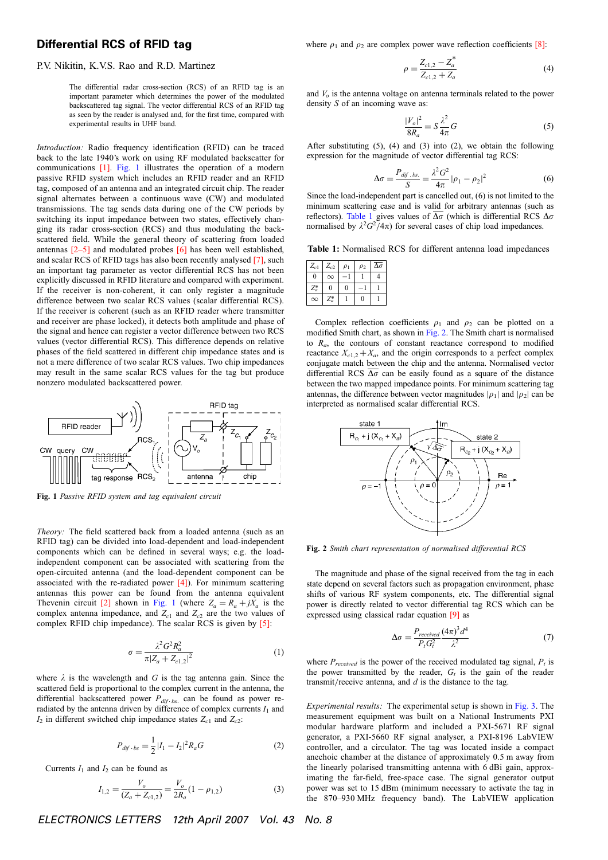## Differential RCS of RFID tag

## P.V. Nikitin, K.V.S. Rao and R.D. Martinez

The differential radar cross-section (RCS) of an RFID tag is an important parameter which determines the power of the modulated backscattered tag signal. The vector differential RCS of an RFID tag as seen by the reader is analysed and, for the first time, compared with experimental results in UHF band.

Introduction: Radio frequency identification (RFID) can be traced back to the late 1940's work on using RF modulated backscatter for communications [1]. Fig. 1 illustrates the operation of a modern passive RFID system which includes an RFID reader and an RFID tag, composed of an antenna and an integrated circuit chip. The reader signal alternates between a continuous wave (CW) and modulated transmissions. The tag sends data during one of the CW periods by switching its input impedance between two states, effectively changing its radar cross-section (RCS) and thus modulating the backscattered field. While the general theory of scattering from loaded antennas [2–5] and modulated probes [6] has been well established, and scalar RCS of RFID tags has also been recently analysed [7], such an important tag parameter as vector differential RCS has not been explicitly discussed in RFID literature and compared with experiment. If the receiver is non-coherent, it can only register a magnitude difference between two scalar RCS values (scalar differential RCS). If the receiver is coherent (such as an RFID reader where transmitter and receiver are phase locked), it detects both amplitude and phase of the signal and hence can register a vector difference between two RCS values (vector differential RCS). This difference depends on relative phases of the field scattered in different chip impedance states and is not a mere difference of two scalar RCS values. Two chip impedances may result in the same scalar RCS values for the tag but produce nonzero modulated backscattered power.



Fig. 1 Passive RFID system and tag equivalent circuit

Theory: The field scattered back from a loaded antenna (such as an RFID tag) can be divided into load-dependent and load-independent components which can be defined in several ways; e.g. the loadindependent component can be associated with scattering from the open-circuited antenna (and the load-dependent component can be associated with the re-radiated power [4]). For minimum scattering antennas this power can be found from the antenna equivalent Thevenin circuit [2] shown in Fig. 1 (where  $Z_a = R_a + jX_a$  is the complex antenna impedance, and  $Z_{c1}$  and  $Z_{c2}$  are the two values of complex RFID chip impedance). The scalar RCS is given by [5]:

$$
\sigma = \frac{\lambda^2 G^2 R_a^2}{\pi |Z_a + Z_{c1,2}|^2} \tag{1}
$$

where  $\lambda$  is the wavelength and G is the tag antenna gain. Since the scattered field is proportional to the complex current in the antenna, the differential backscattered power  $P_{dif-bs}$  can be found as power reradiated by the antenna driven by difference of complex currents  $I_1$  and  $I_2$  in different switched chip impedance states  $Z_{c1}$  and  $Z_{c2}$ :

$$
P_{dif \cdot bs} = \frac{1}{2} |I_1 - I_2|^2 R_a G \tag{2}
$$

Currents  $I_1$  and  $I_2$  can be found as

$$
I_{1,2} = \frac{V_o}{(Z_a + Z_{c1,2})} = \frac{V_o}{2R_a} (1 - \rho_{1,2})
$$
 (3)

ELECTRONICS LETTERS 12th April 2007 Vol. 43 No. 8

where  $\rho_1$  and  $\rho_2$  are complex power wave reflection coefficients [8]:

$$
\rho = \frac{Z_{c1,2} - Z_a^*}{Z_{c1,2} + Z_a} \tag{4}
$$

and  $V<sub>o</sub>$  is the antenna voltage on antenna terminals related to the power density S of an incoming wave as:

$$
\frac{|V_o|^2}{8R_a} = S \frac{\lambda^2}{4\pi} G \tag{5}
$$

After substituting (5), (4) and (3) into (2), we obtain the following expression for the magnitude of vector differential tag RCS:

$$
\Delta \sigma = \frac{P_{dif \, .bs.}}{S} = \frac{\lambda^2 G^2}{4\pi} |\rho_1 - \rho_2|^2
$$
 (6)

Since the load-independent part is cancelled out, (6) is not limited to the minimum scattering case and is valid for arbitrary antennas (such as reflectors). Table 1 gives values of  $\overline{\Delta \sigma}$  (which is differential RCS  $\Delta \sigma$ normalised by  $\lambda^2 G^2 / 4\pi$ ) for several cases of chip load impedances.

Table 1: Normalised RCS for different antenna load impedances

| $Z_{c1}$ | $Z_{c2}$ | $\rho_1$ | $\rho_2$ | Δσ |
|----------|----------|----------|----------|----|
| $\theta$ | $\infty$ |          |          |    |
| $Z_a^*$  | D        | 0        |          |    |
| $\infty$ | Z*       |          | O        |    |

Complex reflection coefficients  $\rho_1$  and  $\rho_2$  can be plotted on a modified Smith chart, as shown in Fig. 2. The Smith chart is normalised to  $R_a$ , the contours of constant reactance correspond to modified reactance  $X_{c1,2} + X_a$ , and the origin corresponds to a perfect complex conjugate match between the chip and the antenna. Normalised vector differential RCS  $\overline{\Delta\sigma}$  can be easily found as a square of the distance between the two mapped impedance points. For minimum scattering tag antennas, the difference between vector magnitudes  $|\rho_1|$  and  $|\rho_2|$  can be interpreted as normalised scalar differential RCS.



Fig. 2 Smith chart representation of normalised differential RCS

The magnitude and phase of the signal received from the tag in each state depend on several factors such as propagation environment, phase shifts of various RF system components, etc. The differential signal power is directly related to vector differential tag RCS which can be expressed using classical radar equation [9] as

$$
\Delta \sigma = \frac{P_{received}}{P_t G_t^2} \frac{(4\pi)^3 d^4}{\lambda^2} \tag{7}
$$

where  $P_{received}$  is the power of the received modulated tag signal,  $P_t$  is the power transmitted by the reader,  $G_t$  is the gain of the reader transmit/receive antenna, and  $d$  is the distance to the tag.

Experimental results: The experimental setup is shown in Fig. 3. The measurement equipment was built on a National Instruments PXI modular hardware platform and included a PXI-5671 RF signal generator, a PXI-5660 RF signal analyser, a PXI-8196 LabVIEW controller, and a circulator. The tag was located inside a compact anechoic chamber at the distance of approximately 0.5 m away from the linearly polarised transmitting antenna with 6 dBi gain, approximating the far-field, free-space case. The signal generator output power was set to 15 dBm (minimum necessary to activate the tag in the 870–930 MHz frequency band). The LabVIEW application